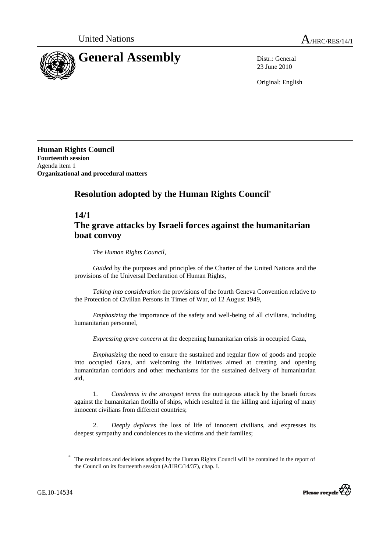

23 June 2010

Original: English

**Human Rights Council Fourteenth session**  Agenda item 1 **Organizational and procedural matters** 

# **Resolution adopted by the Human Rights Council**\*

### **14/1**

## **The grave attacks by Israeli forces against the humanitarian boat convoy**

 *The Human Rights Council*,

*Guided* by the purposes and principles of the Charter of the United Nations and the provisions of the Universal Declaration of Human Rights,

*Taking into consideration* the provisions of the fourth Geneva Convention relative to the Protection of Civilian Persons in Times of War, of 12 August 1949,

*Emphasizing* the importance of the safety and well-being of all civilians, including humanitarian personnel,

*Expressing grave concern* at the deepening humanitarian crisis in occupied Gaza,

*Emphasizing* the need to ensure the sustained and regular flow of goods and people into occupied Gaza, and welcoming the initiatives aimed at creating and opening humanitarian corridors and other mechanisms for the sustained delivery of humanitarian aid,

 1. *Condemns in the strongest terms* the outrageous attack by the Israeli forces against the humanitarian flotilla of ships, which resulted in the killing and injuring of many innocent civilians from different countries;

 2. *Deeply deplores* the loss of life of innocent civilians, and expresses its deepest sympathy and condolences to the victims and their families;

<sup>\*</sup> The resolutions and decisions adopted by the Human Rights Council will be contained in the report of the Council on its fourteenth session (A/HRC/14/37), chap. I.